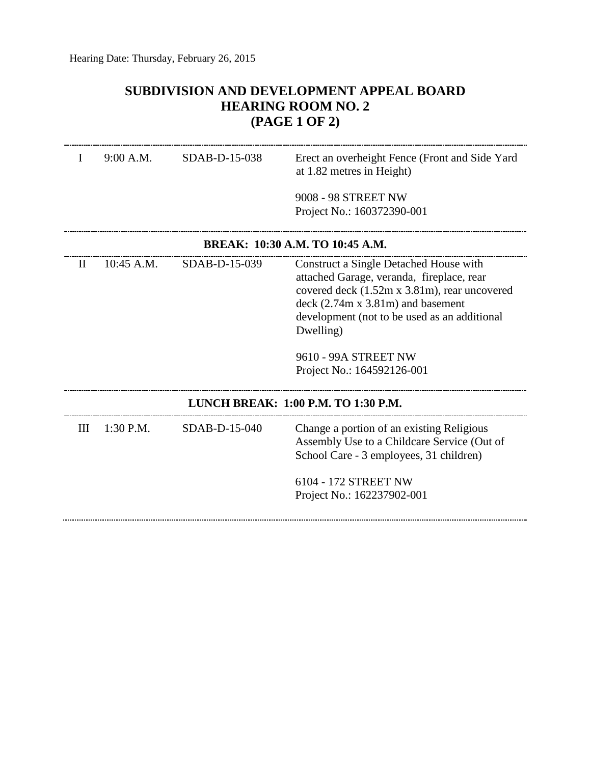## **SUBDIVISION AND DEVELOPMENT APPEAL BOARD HEARING ROOM NO. 2 (PAGE 1 OF 2)**

| I                                   | 9:00 A.M.   | SDAB-D-15-038 | Erect an overheight Fence (Front and Side Yard<br>at 1.82 metres in Height)<br>9008 - 98 STREET NW<br>Project No.: 160372390-001                                                                                                                                                              |  |
|-------------------------------------|-------------|---------------|-----------------------------------------------------------------------------------------------------------------------------------------------------------------------------------------------------------------------------------------------------------------------------------------------|--|
| BREAK: 10:30 A.M. TO 10:45 A.M.     |             |               |                                                                                                                                                                                                                                                                                               |  |
| $\rm II$                            | 10:45 A.M.  | SDAB-D-15-039 | Construct a Single Detached House with<br>attached Garage, veranda, fireplace, rear<br>covered deck (1.52m x 3.81m), rear uncovered<br>$deck (2.74m x 3.81m)$ and basement<br>development (not to be used as an additional<br>Dwelling)<br>9610 - 99A STREET NW<br>Project No.: 164592126-001 |  |
| LUNCH BREAK: 1:00 P.M. TO 1:30 P.M. |             |               |                                                                                                                                                                                                                                                                                               |  |
| Ш                                   | $1:30$ P.M. | SDAB-D-15-040 | Change a portion of an existing Religious<br>Assembly Use to a Childcare Service (Out of<br>School Care - 3 employees, 31 children)<br>6104 - 172 STREET NW<br>Project No.: 162237902-001                                                                                                     |  |